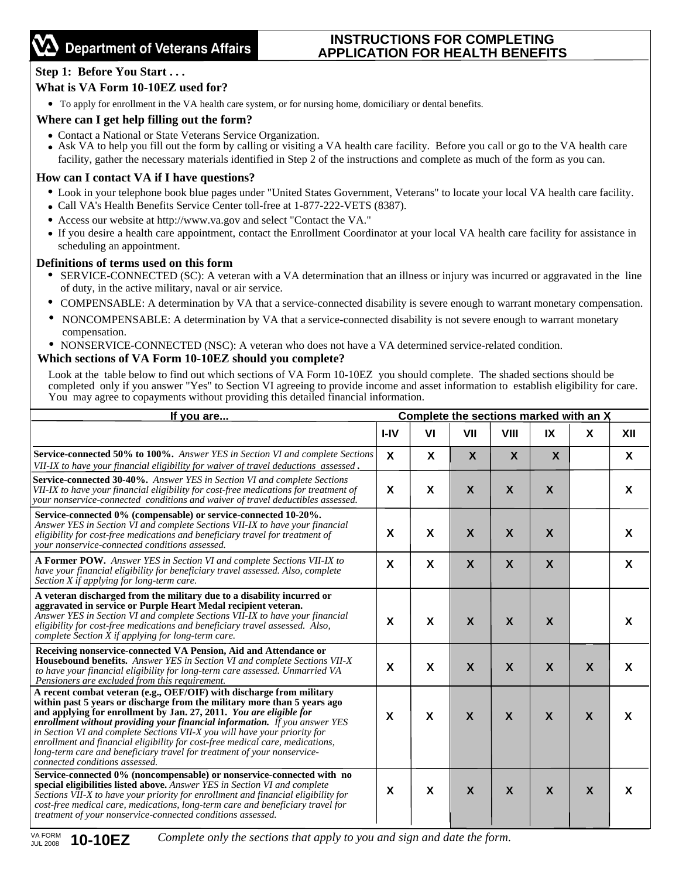# **INSTRUCTIONS FOR COMPLETING APPLICATION FOR HEALTH BENEFITS**

# **Step 1: Before You Start . . .**

## **What is VA Form 10-10EZ used for?**

To apply for enrollment in the VA health care system, or for nursing home, domiciliary or dental benefits.

## **Where can I get help filling out the form?**

- Contact a National or State Veterans Service Organization.
- Ask VA to help you fill out the form by calling or visiting a VA health care facility. Before you call or go to the VA health care facility, gather the necessary materials identified in Step 2 of the instructions and complete as much of the form as you can.

## **How can I contact VA if I have questions?**

- Look in your telephone book blue pages under "United States Government, Veterans" to locate your local VA health care facility.
- Call VA's Health Benefits Service Center toll-free at 1-877-222-VETS (8387).
- Access our website at http://www.va.gov and select "Contact the VA."
- If you desire a health care appointment, contact the Enrollment Coordinator at your local VA health care facility for assistance in scheduling an appointment.

### **Definitions of terms used on this form**

- SERVICE-CONNECTED (SC): A veteran with a VA determination that an illness or injury was incurred or aggravated in the line of duty, in the active military, naval or air service.
- COMPENSABLE: A determination by VA that a service-connected disability is severe enough to warrant monetary compensation.
- NONCOMPENSABLE: A determination by VA that a service-connected disability is not severe enough to warrant monetary compensation.
- NONSERVICE-CONNECTED (NSC): A veteran who does not have a VA determined service-related condition.

### **Which sections of VA Form 10-10EZ should you complete?**

Look at the table below to find out which sections of VA Form 10-10EZ you should complete. The shaded sections should be completed only if you answer "Yes" to Section VI agreeing to provide income and asset information to establish eligibility for care. You may agree to copayments without providing this detailed financial information.

| If you are                                                                                                                                                                                                                                                                                                                                                                                                                                                                                                                                                                      | Complete the sections marked with an X |                           |                           |                           |                           |                           |     |
|---------------------------------------------------------------------------------------------------------------------------------------------------------------------------------------------------------------------------------------------------------------------------------------------------------------------------------------------------------------------------------------------------------------------------------------------------------------------------------------------------------------------------------------------------------------------------------|----------------------------------------|---------------------------|---------------------------|---------------------------|---------------------------|---------------------------|-----|
|                                                                                                                                                                                                                                                                                                                                                                                                                                                                                                                                                                                 | I-IV                                   | VI                        | VII                       | <b>VIII</b>               | IX                        | X                         | XII |
| <b>Service-connected 50% to 100%.</b> Answer YES in Section VI and complete Sections<br>VII-IX to have your financial eligibility for waiver of travel deductions assessed.                                                                                                                                                                                                                                                                                                                                                                                                     | $\boldsymbol{\mathsf{X}}$              | X                         | $\boldsymbol{X}$          | $\boldsymbol{\mathsf{X}}$ | $\boldsymbol{\mathsf{X}}$ |                           | X   |
| <b>Service-connected 30-40%.</b> Answer YES in Section VI and complete Sections<br>VII-IX to have your financial eligibility for cost-free medications for treatment of<br>your nonservice-connected conditions and waiver of travel deductibles assessed.                                                                                                                                                                                                                                                                                                                      | X                                      | X                         | $\boldsymbol{X}$          | $\boldsymbol{X}$          | X                         |                           | X   |
| Service-connected 0% (compensable) or service-connected 10-20%.<br>Answer YES in Section VI and complete Sections VII-IX to have your financial<br>eligibility for cost-free medications and beneficiary travel for treatment of<br>vour nonservice-connected conditions assessed.                                                                                                                                                                                                                                                                                              | X                                      | X                         | X                         | X                         | X                         |                           | X   |
| A Former POW. Answer YES in Section VI and complete Sections VII-IX to<br>have your financial eligibility for beneficiary travel assessed. Also, complete<br>Section X if applying for long-term care.                                                                                                                                                                                                                                                                                                                                                                          | $\boldsymbol{\mathsf{x}}$              | $\boldsymbol{\mathsf{X}}$ | $\mathsf{X}$              | $\boldsymbol{X}$          | $\boldsymbol{\mathsf{X}}$ |                           | X   |
| A veteran discharged from the military due to a disability incurred or<br>aggravated in service or Purple Heart Medal recipient veteran.<br>Answer YES in Section VI and complete Sections VII-IX to have your financial<br>eligibility for cost-free medications and beneficiary travel assessed. Also,<br>complete Section X if applying for long-term care.                                                                                                                                                                                                                  | X                                      | X                         | $\boldsymbol{\mathsf{X}}$ | $\boldsymbol{X}$          | X                         |                           | X   |
| Receiving nonservice-connected VA Pension, Aid and Attendance or<br><b>Housebound benefits.</b> Answer YES in Section VI and complete Sections VII-X<br>to have your financial eligibility for long-term care assessed. Unmarried VA<br>Pensioners are excluded from this requirement.                                                                                                                                                                                                                                                                                          | X                                      | X                         | $\boldsymbol{X}$          | $\boldsymbol{X}$          | $\boldsymbol{X}$          | $\boldsymbol{\mathsf{X}}$ | X   |
| A recent combat veteran (e.g., OEF/OIF) with discharge from military<br>within past 5 years or discharge from the military more than 5 years ago<br>and applying for enrollment by Jan. 27, 2011. You are eligible for<br>enrollment without providing your financial information. If you answer YES<br>in Section VI and complete Sections VII-X you will have your priority for<br>enrollment and financial eligibility for cost-free medical care, medications,<br>long-term care and beneficiary travel for treatment of your nonservice-<br>connected conditions assessed. | X                                      | X                         | $\boldsymbol{X}$          | $\boldsymbol{X}$          | $\boldsymbol{X}$          | $\mathbf{x}$              | X   |
| Service-connected 0% (noncompensable) or nonservice-connected with no<br>special eligibilities listed above. Answer YES in Section VI and complete<br>Sections VII-X to have your priority for enrollment and financial eligibility for<br>cost-free medical care, medications, long-term care and beneficiary travel for<br>treatment of your nonservice-connected conditions assessed.                                                                                                                                                                                        | X                                      | X                         | $\mathbf x$               | $\boldsymbol{X}$          | $\mathbf{x}$              | $\boldsymbol{\mathsf{X}}$ | X   |

*Complete only the sections that apply to you and sign and date the form.*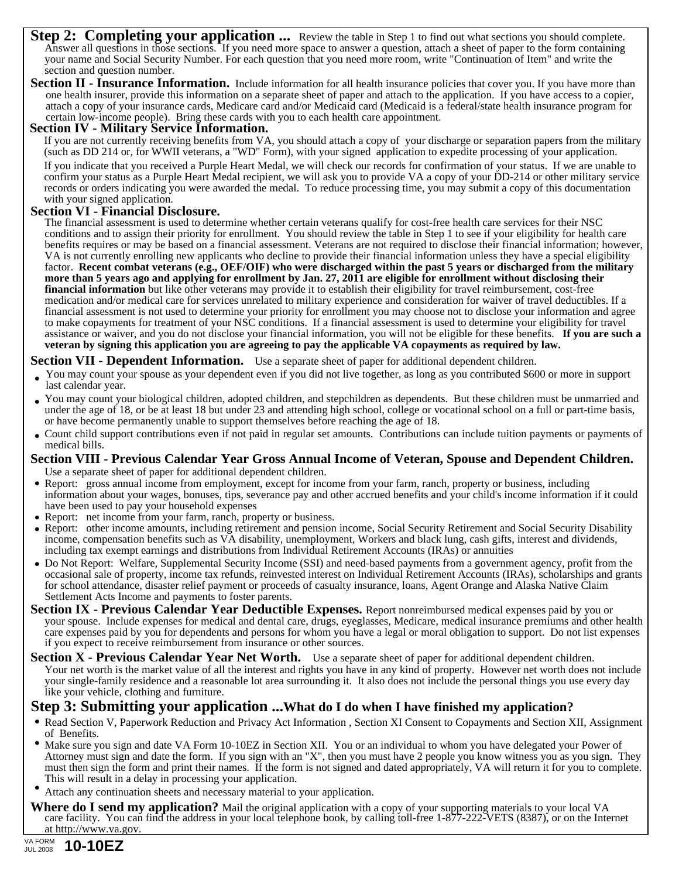- **Step 2: Completing your application ...** Review the table in Step 1 to find out what sections you should complete. Answer all questions in those sections. If you need more space to answer a question, attach a sheet of paper to the form containing your name and Social Security Number. For each question that you need more room, write "Continuation of Item" and write the section and question number.
- **Section II Insurance Information.** Include information for all health insurance policies that cover you. If you have more than one health insurer, provide this information on a separate sheet of paper and attach to the application. If you have access to a copier, attach a copy of your insurance cards, Medicare card and/or Medicaid card (Medicaid is a federal/state health insurance program for certain low-income people). Bring these cards with you to each health care appointment.

#### **Section IV - Military Service Information.**

If you are not currently receiving benefits from VA, you should attach a copy of your discharge or separation papers from the military (such as DD 214 or, for WWII veterans, a "WD" Form), with your signed application to expedite processing of your application.

If you indicate that you received a Purple Heart Medal, we will check our records for confirmation of your status. If we are unable to confirm your status as a Purple Heart Medal recipient, we will ask you to provide VA a copy of your DD-214 or other military service records or orders indicating you were awarded the medal. To reduce processing time, you may submit a copy of this documentation with your signed application.

### **Section VI - Financial Disclosure.**

The financial assessment is used to determine whether certain veterans qualify for cost-free health care services for their NSC conditions and to assign their priority for enrollment. You should review the table in Step 1 to see if your eligibility for health care benefits requires or may be based on a financial assessment. Veterans are not required to disclose their financial information; however, VA is not currently enrolling new applicants who decline to provide their financial information unless they have a special eligibility factor. **Recent combat veterans (e.g., OEF/OIF) who were discharged within the past 5 years or discharged from the military more than 5 years ago and applying for enrollment by Jan. 27, 2011 are eligible for enrollment without disclosing their financial information** but like other veterans may provide it to establish their eligibility for travel reimbursement, cost-free medication and/or medical care for services unrelated to military experience and consideration for waiver of travel deductibles. If a financial assessment is not used to determine your priority for enrollment you may choose not to disclose your information and agree to make copayments for treatment of your NSC conditions. If a financial assessment is used to determine your eligibility for travel assistance or waiver, and you do not disclose your financial information, you will not be eligible for these benefits. If you are such a **veteran by signing this application you are agreeing to pay the applicable VA copayments as required by law.**

#### **Section VII - Dependent Information.** Use a separate sheet of paper for additional dependent children.

- You may count your spouse as your dependent even if you did not live together, as long as you contributed \$600 or more in support last calendar year.
- You may count your biological children, adopted children, and stepchildren as dependents. But these children must be unmarried and under the age of 18, or be at least 18 but under 23 and attending high school, college or vocational school on a full or part-time basis, or have become permanently unable to support themselves before reaching the age of 18.
- Count child support contributions even if not paid in regular set amounts. Contributions can include tuition payments or payments of medical bills.

#### **Section VIII - Previous Calendar Year Gross Annual Income of Veteran, Spouse and Dependent Children.** Use a separate sheet of paper for additional dependent children.

- Report: gross annual income from employment, except for income from your farm, ranch, property or business, including information about your wages, bonuses, tips, severance pay and other accrued benefits and your child's income information if it could have been used to pay your household expenses
- Report: net income from your farm, ranch, property or business.
- Report: other income amounts, including retirement and pension income, Social Security Retirement and Social Security Disability income, compensation benefits such as VA disability, unemployment, Workers and black lung, cash gifts, interest and dividends, including tax exempt earnings and distributions from Individual Retirement Accounts (IRAs) or annuities
- Do Not Report: Welfare, Supplemental Security Income (SSI) and need-based payments from a government agency, profit from the occasional sale of property, income tax refunds, reinvested interest on Individual Retirement Accounts (IRAs), scholarships and grants for school attendance, disaster relief payment or proceeds of casualty insurance, loans, Agent Orange and Alaska Native Claim Settlement Acts Income and payments to foster parents.
- **Section IX Previous Calendar Year Deductible Expenses.** Report nonreimbursed medical expenses paid by you or your spouse. Include expenses for medical and dental care, drugs, eyeglasses, Medicare, medical insurance premiums and other health care expenses paid by you for dependents and persons for whom you have a legal or moral obligation to support. Do not list expenses if you expect to receive reimbursement from insurance or other sources.
- **Section X Previous Calendar Year Net Worth.** Use a separate sheet of paper for additional dependent children. Your net worth is the market value of all the interest and rights you have in any kind of property. However net worth does not include your single-family residence and a reasonable lot area surrounding it. It also does not include the personal things you use every day like your vehicle, clothing and furniture.

## **Step 3: Submitting your application ...What do I do when I have finished my application?**

- Read Section V, Paperwork Reduction and Privacy Act Information, Section XI Consent to Copayments and Section XII, Assignment of Benefits.
- Make sure you sign and date VA Form 10-10EZ in Section XII. You or an individual to whom you have delegated your Power of Attorney must sign and date the form. If you sign with an "X", then you must have 2 people you know witness you as you sign. They must then sign the form and print their names. If the form is not signed and dated appropriately, VA will return it for you to complete. This will result in a delay in processing your application.
- Attach any continuation sheets and necessary material to your application.
- **Where do I send my application?** Mail the original application with a copy of your supporting materials to your local VA care facility. You can find the address in your local telephone book, by calling toll-free 1-877-222-VETS (8387), or on the Internet at http://www.va.gov.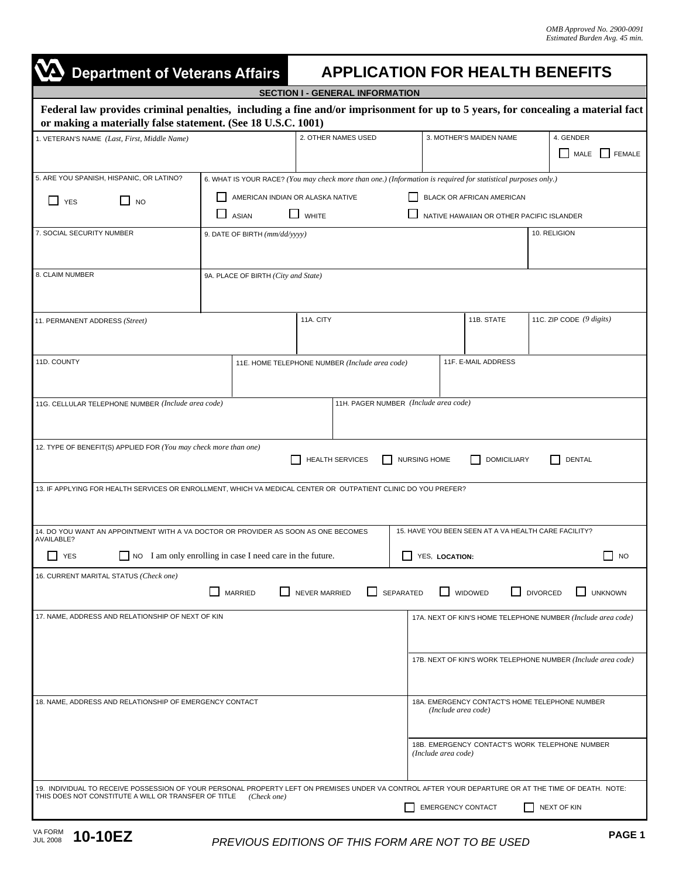٦

| <b>Department of Veterans Affairs</b>                                                                                                                                                                        |                                                                                                                                                                                                                                                             |                                        |                                                                       |                                                      | <b>APPLICATION FOR HEALTH BENEFITS</b>                       |  |  |  |  |
|--------------------------------------------------------------------------------------------------------------------------------------------------------------------------------------------------------------|-------------------------------------------------------------------------------------------------------------------------------------------------------------------------------------------------------------------------------------------------------------|----------------------------------------|-----------------------------------------------------------------------|------------------------------------------------------|--------------------------------------------------------------|--|--|--|--|
|                                                                                                                                                                                                              |                                                                                                                                                                                                                                                             | <b>SECTION I - GENERAL INFORMATION</b> |                                                                       |                                                      |                                                              |  |  |  |  |
| Federal law provides criminal penalties, including a fine and/or imprisonment for up to 5 years, for concealing a material fact<br>or making a materially false statement. (See 18 U.S.C. 1001)              |                                                                                                                                                                                                                                                             |                                        |                                                                       |                                                      |                                                              |  |  |  |  |
| 1. VETERAN'S NAME (Last, First, Middle Name)                                                                                                                                                                 | 2. OTHER NAMES USED                                                                                                                                                                                                                                         |                                        | 3. MOTHER'S MAIDEN NAME                                               | 4. GENDER<br><b>FEMALE</b><br>MALE                   |                                                              |  |  |  |  |
| 5. ARE YOU SPANISH, HISPANIC, OR LATINO?<br>$\Box$ NO<br>$\Box$ YES                                                                                                                                          | 6. WHAT IS YOUR RACE? (You may check more than one.) (Information is required for statistical purposes only.)<br>AMERICAN INDIAN OR ALASKA NATIVE<br>BLACK OR AFRICAN AMERICAN<br>$\Box$ WHITE<br>NATIVE HAWAIIAN OR OTHER PACIFIC ISLANDER<br><b>ASIAN</b> |                                        |                                                                       |                                                      |                                                              |  |  |  |  |
| 7. SOCIAL SECURITY NUMBER                                                                                                                                                                                    | 9. DATE OF BIRTH (mm/dd/yyyy)                                                                                                                                                                                                                               | 10. RELIGION                           |                                                                       |                                                      |                                                              |  |  |  |  |
| 8. CLAIM NUMBER                                                                                                                                                                                              | 9A. PLACE OF BIRTH (City and State)                                                                                                                                                                                                                         |                                        |                                                                       |                                                      |                                                              |  |  |  |  |
| 11. PERMANENT ADDRESS (Street)                                                                                                                                                                               |                                                                                                                                                                                                                                                             | 11A. CITY                              |                                                                       | 11B. STATE                                           | 11C. ZIP CODE $(9 \; digits)$                                |  |  |  |  |
| 11D. COUNTY                                                                                                                                                                                                  | 11F. E-MAIL ADDRESS<br>11E. HOME TELEPHONE NUMBER (Include area code)                                                                                                                                                                                       |                                        |                                                                       |                                                      |                                                              |  |  |  |  |
| 11G. CELLULAR TELEPHONE NUMBER (Include area code)                                                                                                                                                           |                                                                                                                                                                                                                                                             | 11H. PAGER NUMBER (Include area code)  |                                                                       |                                                      |                                                              |  |  |  |  |
| 12. TYPE OF BENEFIT(S) APPLIED FOR (You may check more than one)                                                                                                                                             |                                                                                                                                                                                                                                                             | <b>HEALTH SERVICES</b>                 | <b>NURSING HOME</b>                                                   | <b>DOMICILIARY</b>                                   | <b>DENTAL</b>                                                |  |  |  |  |
| 13. IF APPLYING FOR HEALTH SERVICES OR ENROLLMENT, WHICH VA MEDICAL CENTER OR OUTPATIENT CLINIC DO YOU PREFER?                                                                                               |                                                                                                                                                                                                                                                             |                                        |                                                                       |                                                      |                                                              |  |  |  |  |
| 14. DO YOU WANT AN APPOINTMENT WITH A VA DOCTOR OR PROVIDER AS SOON AS ONE BECOMES<br>AVAILABLE?                                                                                                             |                                                                                                                                                                                                                                                             |                                        |                                                                       | 15. HAVE YOU BEEN SEEN AT A VA HEALTH CARE FACILITY? |                                                              |  |  |  |  |
| $\Box$ YES                                                                                                                                                                                                   | NO I am only enrolling in case I need care in the future.                                                                                                                                                                                                   |                                        | YES, LOCATION:                                                        |                                                      | $\Box$ NO                                                    |  |  |  |  |
| 16. CURRENT MARITAL STATUS (Check one)                                                                                                                                                                       | <b>MARRIED</b>                                                                                                                                                                                                                                              | NEVER MARRIED<br>ΙI                    | SEPARATED                                                             | WIDOWED                                              | <b>DIVORCED</b><br><b>UNKNOWN</b>                            |  |  |  |  |
| 17. NAME, ADDRESS AND RELATIONSHIP OF NEXT OF KIN                                                                                                                                                            |                                                                                                                                                                                                                                                             |                                        |                                                                       |                                                      | 17A. NEXT OF KIN'S HOME TELEPHONE NUMBER (Include area code) |  |  |  |  |
|                                                                                                                                                                                                              |                                                                                                                                                                                                                                                             |                                        |                                                                       |                                                      | 17B. NEXT OF KIN'S WORK TELEPHONE NUMBER (Include area code) |  |  |  |  |
| 18. NAME, ADDRESS AND RELATIONSHIP OF EMERGENCY CONTACT                                                                                                                                                      |                                                                                                                                                                                                                                                             |                                        | 18A. EMERGENCY CONTACT'S HOME TELEPHONE NUMBER<br>(Include area code) |                                                      |                                                              |  |  |  |  |
|                                                                                                                                                                                                              |                                                                                                                                                                                                                                                             |                                        | (Include area code)                                                   |                                                      | 18B. EMERGENCY CONTACT'S WORK TELEPHONE NUMBER               |  |  |  |  |
| 19. INDIVIDUAL TO RECEIVE POSSESSION OF YOUR PERSONAL PROPERTY LEFT ON PREMISES UNDER VA CONTROL AFTER YOUR DEPARTURE OR AT THE TIME OF DEATH. NOTE:<br>THIS DOES NOT CONSTITUTE A WILL OR TRANSFER OF TITLE | (Check one)                                                                                                                                                                                                                                                 |                                        |                                                                       | <b>EMERGENCY CONTACT</b>                             | NEXT OF KIN                                                  |  |  |  |  |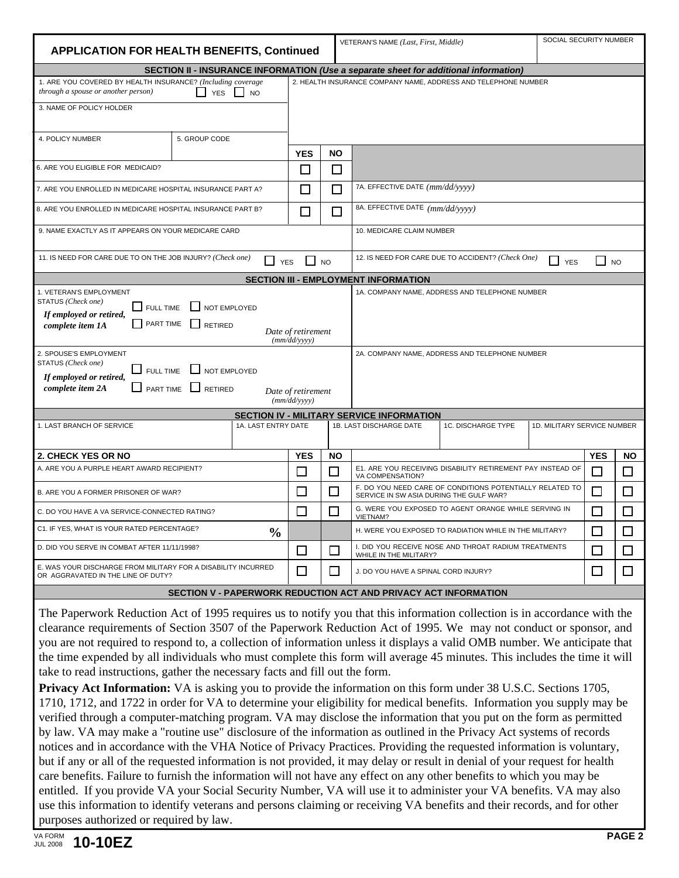| <b>APPLICATION FOR HEALTH BENEFITS, Continued</b>                                                                                                                                                                                                                    |               |                     | SOCIAL SECURITY NUMBER<br>VETERAN'S NAME (Last, First, Middle) |                                                                                                               |                                                                |                             |            |              |  |  |
|----------------------------------------------------------------------------------------------------------------------------------------------------------------------------------------------------------------------------------------------------------------------|---------------|---------------------|----------------------------------------------------------------|---------------------------------------------------------------------------------------------------------------|----------------------------------------------------------------|-----------------------------|------------|--------------|--|--|
| SECTION II - INSURANCE INFORMATION (Use a separate sheet for additional information)                                                                                                                                                                                 |               |                     |                                                                |                                                                                                               |                                                                |                             |            |              |  |  |
| 1. ARE YOU COVERED BY HEALTH INSURANCE? (Including coverage<br>through a spouse or another person)<br>LI YES LI NO                                                                                                                                                   |               |                     |                                                                |                                                                                                               | 2. HEALTH INSURANCE COMPANY NAME, ADDRESS AND TELEPHONE NUMBER |                             |            |              |  |  |
| 3. NAME OF POLICY HOLDER                                                                                                                                                                                                                                             |               |                     |                                                                |                                                                                                               |                                                                |                             |            |              |  |  |
|                                                                                                                                                                                                                                                                      |               |                     |                                                                |                                                                                                               |                                                                |                             |            |              |  |  |
| 4. POLICY NUMBER                                                                                                                                                                                                                                                     | 5. GROUP CODE |                     |                                                                |                                                                                                               |                                                                |                             |            |              |  |  |
|                                                                                                                                                                                                                                                                      |               | <b>YES</b>          | <b>NO</b>                                                      |                                                                                                               |                                                                |                             |            |              |  |  |
| 6. ARE YOU ELIGIBLE FOR MEDICAID?                                                                                                                                                                                                                                    |               | $\mathbf{I}$        | $\mathsf{L}$                                                   |                                                                                                               |                                                                |                             |            |              |  |  |
| 7. ARE YOU ENROLLED IN MEDICARE HOSPITAL INSURANCE PART A?                                                                                                                                                                                                           |               | $\mathsf{L}$        | П                                                              | 7A. EFFECTIVE DATE (mm/dd/yyyy)                                                                               |                                                                |                             |            |              |  |  |
| 8. ARE YOU ENROLLED IN MEDICARE HOSPITAL INSURANCE PART B?                                                                                                                                                                                                           |               |                     | n                                                              | 8A. EFFECTIVE DATE (mm/dd/yyyy)                                                                               |                                                                |                             |            |              |  |  |
| 9. NAME EXACTLY AS IT APPEARS ON YOUR MEDICARE CARD                                                                                                                                                                                                                  |               |                     |                                                                | 10. MEDICARE CLAIM NUMBER                                                                                     |                                                                |                             |            |              |  |  |
| 11. IS NEED FOR CARE DUE TO ON THE JOB INJURY? (Check one)<br>12. IS NEED FOR CARE DUE TO ACCIDENT? (Check One)<br>$\Box$ NO<br>$\mathsf{l}$ NO<br>$\Box$ YES<br>$\Box$ YES                                                                                          |               |                     |                                                                |                                                                                                               |                                                                |                             |            |              |  |  |
|                                                                                                                                                                                                                                                                      |               |                     |                                                                | <b>SECTION III - EMPLOYMENT INFORMATION</b>                                                                   |                                                                |                             |            |              |  |  |
| 1. VETERAN'S EMPLOYMENT<br>1A. COMPANY NAME, ADDRESS AND TELEPHONE NUMBER<br>STATUS (Check one)<br>FULL TIME<br>NOT EMPLOYED<br>If employed or retired,<br><b>FART TIME</b><br><b>RETIRED</b><br>complete item 1A<br>Date of retirement<br>(mm/dd/vyyy)              |               |                     |                                                                |                                                                                                               |                                                                |                             |            |              |  |  |
| 2. SPOUSE'S EMPLOYMENT<br>2A. COMPANY NAME, ADDRESS AND TELEPHONE NUMBER<br>STATUS (Check one)<br>$\Box$ NOT EMPLOYED<br>$\Box$ FULL TIME<br>If employed or retired,<br>complete item 2A<br>$\Box$ PART TIME<br>$\Box$ RETIRED<br>Date of retirement<br>(mm/dd/yyyy) |               |                     |                                                                |                                                                                                               |                                                                |                             |            |              |  |  |
| <b>SECTION IV - MILITARY SERVICE INFORMATION</b>                                                                                                                                                                                                                     |               |                     |                                                                |                                                                                                               |                                                                |                             |            |              |  |  |
| 1. LAST BRANCH OF SERVICE                                                                                                                                                                                                                                            |               | 1A. LAST ENTRY DATE |                                                                | 1B. LAST DISCHARGE DATE                                                                                       | 1C. DISCHARGE TYPE                                             | 1D. MILITARY SERVICE NUMBER |            |              |  |  |
| 2. CHECK YES OR NO                                                                                                                                                                                                                                                   |               | <b>YES</b>          | <b>NO</b>                                                      |                                                                                                               |                                                                |                             | <b>YES</b> | <b>NO</b>    |  |  |
| A. ARE YOU A PURPLE HEART AWARD RECIPIENT?                                                                                                                                                                                                                           |               |                     | 囗                                                              | VA COMPENSATION?                                                                                              | E1. ARE YOU RECEIVING DISABILITY RETIREMENT PAY INSTEAD OF     |                             |            |              |  |  |
| B. ARE YOU A FORMER PRISONER OF WAR?                                                                                                                                                                                                                                 |               |                     | $\Box$                                                         | F. DO YOU NEED CARE OF CONDITIONS POTENTIALLY RELATED TO<br>$\Box$<br>SERVICE IN SW ASIA DURING THE GULF WAR? |                                                                |                             |            |              |  |  |
| C. DO YOU HAVE A VA SERVICE-CONNECTED RATING?                                                                                                                                                                                                                        |               |                     | П                                                              | G. WERE YOU EXPOSED TO AGENT ORANGE WHILE SERVING IN<br>П<br>VIETNAM?                                         |                                                                |                             |            |              |  |  |
| C1. IF YES, WHAT IS YOUR RATED PERCENTAGE?<br>$\frac{0}{0}$                                                                                                                                                                                                          |               |                     |                                                                | H. WERE YOU EXPOSED TO RADIATION WHILE IN THE MILITARY?<br>$\mathsf{L}$                                       |                                                                |                             |            |              |  |  |
| D. DID YOU SERVE IN COMBAT AFTER 11/11/1998?                                                                                                                                                                                                                         |               |                     | Г                                                              | I. DID YOU RECEIVE NOSE AND THROAT RADIUM TREATMENTS<br>WHILE IN THE MILITARY?                                |                                                                |                             |            | $\mathsf{L}$ |  |  |
| E. WAS YOUR DISCHARGE FROM MILITARY FOR A DISABILITY INCURRED<br>OR AGGRAVATED IN THE LINE OF DUTY?                                                                                                                                                                  |               | □                   | П                                                              | J. DO YOU HAVE A SPINAL CORD INJURY?                                                                          |                                                                |                             | $\Box$     | $\Box$       |  |  |
| SECTION V - PAPERWORK REDUCTION ACT AND PRIVACY ACT INFORMATION                                                                                                                                                                                                      |               |                     |                                                                |                                                                                                               |                                                                |                             |            |              |  |  |

The Paperwork Reduction Act of 1995 requires us to notify you that this information collection is in accordance with the clearance requirements of Section 3507 of the Paperwork Reduction Act of 1995. We may not conduct or sponsor, and you are not required to respond to, a collection of information unless it displays a valid OMB number. We anticipate that the time expended by all individuals who must complete this form will average 45 minutes. This includes the time it will take to read instructions, gather the necessary facts and fill out the form.

**Privacy Act Information:** VA is asking you to provide the information on this form under 38 U.S.C. Sections 1705, 1710, 1712, and 1722 in order for VA to determine your eligibility for medical benefits. Information you supply may be verified through a computer-matching program. VA may disclose the information that you put on the form as permitted by law. VA may make a "routine use" disclosure of the information as outlined in the Privacy Act systems of records notices and in accordance with the VHA Notice of Privacy Practices. Providing the requested information is voluntary, but if any or all of the requested information is not provided, it may delay or result in denial of your request for health care benefits. Failure to furnish the information will not have any effect on any other benefits to which you may be entitled. If you provide VA your Social Security Number, VA will use it to administer your VA benefits. VA may also use this information to identify veterans and persons claiming or receiving VA benefits and their records, and for other purposes authorized or required by law.